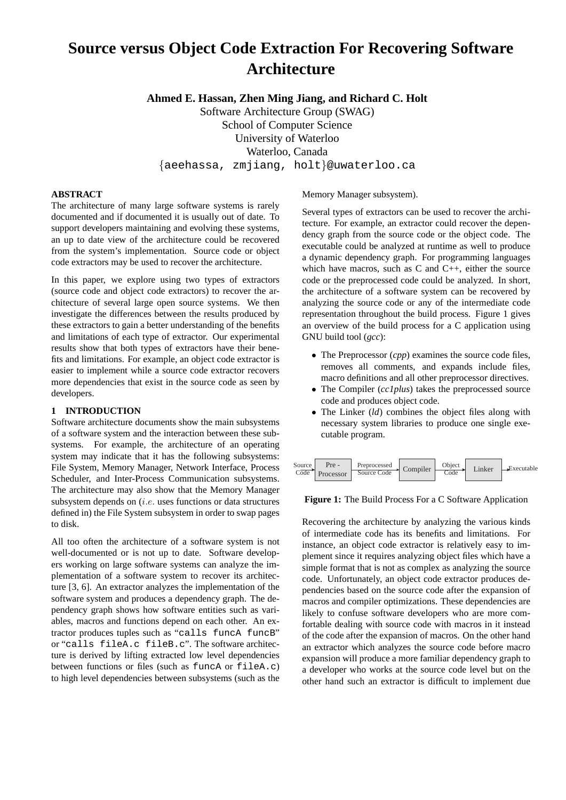# **Source versus Object Code Extraction For Recovering Software Architecture**

**Ahmed E. Hassan, Zhen Ming Jiang, and Richard C. Holt**

Software Architecture Group (SWAG) School of Computer Science University of Waterloo Waterloo, Canada {aeehassa, zmjiang, holt}@uwaterloo.ca

# **ABSTRACT**

The architecture of many large software systems is rarely documented and if documented it is usually out of date. To support developers maintaining and evolving these systems, an up to date view of the architecture could be recovered from the system's implementation. Source code or object code extractors may be used to recover the architecture.

In this paper, we explore using two types of extractors (source code and object code extractors) to recover the architecture of several large open source systems. We then investigate the differences between the results produced by these extractors to gain a better understanding of the benefits and limitations of each type of extractor. Our experimental results show that both types of extractors have their benefits and limitations. For example, an object code extractor is easier to implement while a source code extractor recovers more dependencies that exist in the source code as seen by developers.

## **1 INTRODUCTION**

Software architecture documents show the main subsystems of a software system and the interaction between these subsystems. For example, the architecture of an operating system may indicate that it has the following subsystems: File System, Memory Manager, Network Interface, Process Scheduler, and Inter-Process Communication subsystems. The architecture may also show that the Memory Manager subsystem depends on  $(i.e.$  uses functions or data structures defined in) the File System subsystem in order to swap pages to disk.

All too often the architecture of a software system is not well-documented or is not up to date. Software developers working on large software systems can analyze the implementation of a software system to recover its architecture [3, 6]. An extractor analyzes the implementation of the software system and produces a dependency graph. The dependency graph shows how software entities such as variables, macros and functions depend on each other. An extractor produces tuples such as "calls funcA funcB" or "calls fileA.c fileB.c". The software architecture is derived by lifting extracted low level dependencies between functions or files (such as funcA or fileA.c) to high level dependencies between subsystems (such as the Memory Manager subsystem).

Several types of extractors can be used to recover the architecture. For example, an extractor could recover the dependency graph from the source code or the object code. The executable could be analyzed at runtime as well to produce a dynamic dependency graph. For programming languages which have macros, such as  $C$  and  $C_{++}$ , either the source code or the preprocessed code could be analyzed. In short, the architecture of a software system can be recovered by analyzing the source code or any of the intermediate code representation throughout the build process. Figure 1 gives an overview of the build process for a C application using GNU build tool (*gcc*):

- The Preprocessor (*cpp*) examines the source code files, removes all comments, and expands include files, macro definitions and all other preprocessor directives.
- The Compiler (*cc1plus*) takes the preprocessed source code and produces object code.
- The Linker (*ld*) combines the object files along with necessary system libraries to produce one single executable program.



**Figure 1:** The Build Process For a C Software Application

Recovering the architecture by analyzing the various kinds of intermediate code has its benefits and limitations. For instance, an object code extractor is relatively easy to implement since it requires analyzing object files which have a simple format that is not as complex as analyzing the source code. Unfortunately, an object code extractor produces dependencies based on the source code after the expansion of macros and compiler optimizations. These dependencies are likely to confuse software developers who are more comfortable dealing with source code with macros in it instead of the code after the expansion of macros. On the other hand an extractor which analyzes the source code before macro expansion will produce a more familiar dependency graph to a developer who works at the source code level but on the other hand such an extractor is difficult to implement due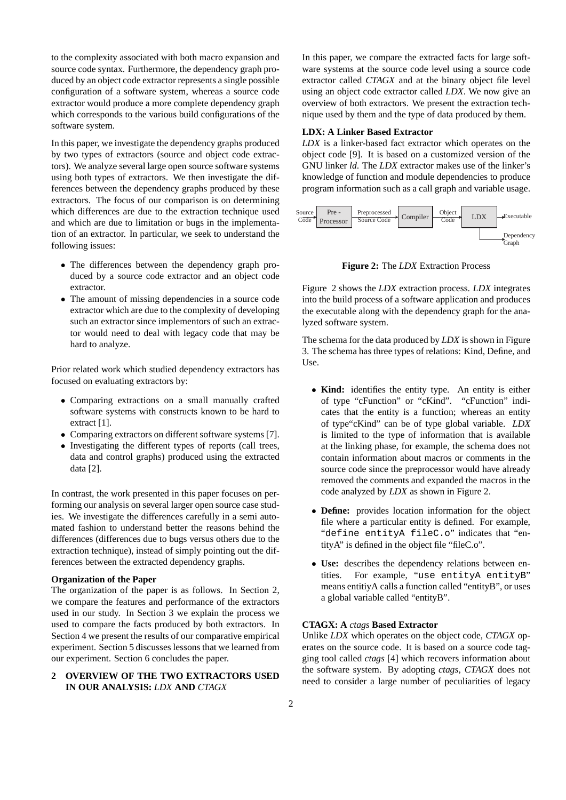to the complexity associated with both macro expansion and source code syntax. Furthermore, the dependency graph produced by an object code extractor represents a single possible configuration of a software system, whereas a source code extractor would produce a more complete dependency graph which corresponds to the various build configurations of the software system.

In this paper, we investigate the dependency graphs produced by two types of extractors (source and object code extractors). We analyze several large open source software systems using both types of extractors. We then investigate the differences between the dependency graphs produced by these extractors. The focus of our comparison is on determining which differences are due to the extraction technique used and which are due to limitation or bugs in the implementation of an extractor. In particular, we seek to understand the following issues:

- The differences between the dependency graph produced by a source code extractor and an object code extractor.
- The amount of missing dependencies in a source code extractor which are due to the complexity of developing such an extractor since implementors of such an extractor would need to deal with legacy code that may be hard to analyze.

Prior related work which studied dependency extractors has focused on evaluating extractors by:

- Comparing extractions on a small manually crafted software systems with constructs known to be hard to extract [1].
- Comparing extractors on different software systems [7].
- Investigating the different types of reports (call trees, data and control graphs) produced using the extracted data [2].

In contrast, the work presented in this paper focuses on performing our analysis on several larger open source case studies. We investigate the differences carefully in a semi automated fashion to understand better the reasons behind the differences (differences due to bugs versus others due to the extraction technique), instead of simply pointing out the differences between the extracted dependency graphs.

## **Organization of the Paper**

The organization of the paper is as follows. In Section 2, we compare the features and performance of the extractors used in our study. In Section 3 we explain the process we used to compare the facts produced by both extractors. In Section 4 we present the results of our comparative empirical experiment. Section 5 discusses lessons that we learned from our experiment. Section 6 concludes the paper.

# **2 OVERVIEW OF THE TWO EXTRACTORS USED IN OUR ANALYSIS:** *LDX* **AND** *CTAGX*

In this paper, we compare the extracted facts for large software systems at the source code level using a source code extractor called *CTAGX* and at the binary object file level using an object code extractor called *LDX*. We now give an overview of both extractors. We present the extraction technique used by them and the type of data produced by them.

#### **LDX: A Linker Based Extractor**

*LDX* is a linker-based fact extractor which operates on the object code [9]. It is based on a customized version of the GNU linker *ld*. The *LDX* extractor makes use of the linker's knowledge of function and module dependencies to produce program information such as a call graph and variable usage.



**Figure 2:** The *LDX* Extraction Process

Figure 2 shows the *LDX* extraction process. *LDX* integrates into the build process of a software application and produces the executable along with the dependency graph for the analyzed software system.

The schema for the data produced by *LDX* is shown in Figure 3. The schema has three types of relations: Kind, Define, and Use.

- **Kind:** identifies the entity type. An entity is either of type "cFunction" or "cKind". "cFunction" indicates that the entity is a function; whereas an entity of type"cKind" can be of type global variable. *LDX* is limited to the type of information that is available at the linking phase, for example, the schema does not contain information about macros or comments in the source code since the preprocessor would have already removed the comments and expanded the macros in the code analyzed by *LDX* as shown in Figure 2.
- **Define:** provides location information for the object file where a particular entity is defined. For example, "define entityA fileC.o" indicates that "entityA" is defined in the object file "fileC.o".
- **Use:** describes the dependency relations between entities. For example, "use entityA entityB" means entitiyA calls a function called "entityB", or uses a global variable called "entityB".

## **CTAGX: A** *ctags* **Based Extractor**

Unlike *LDX* which operates on the object code, *CTAGX* operates on the source code. It is based on a source code tagging tool called *ctags* [4] which recovers information about the software system. By adopting *ctags*, *CTAGX* does not need to consider a large number of peculiarities of legacy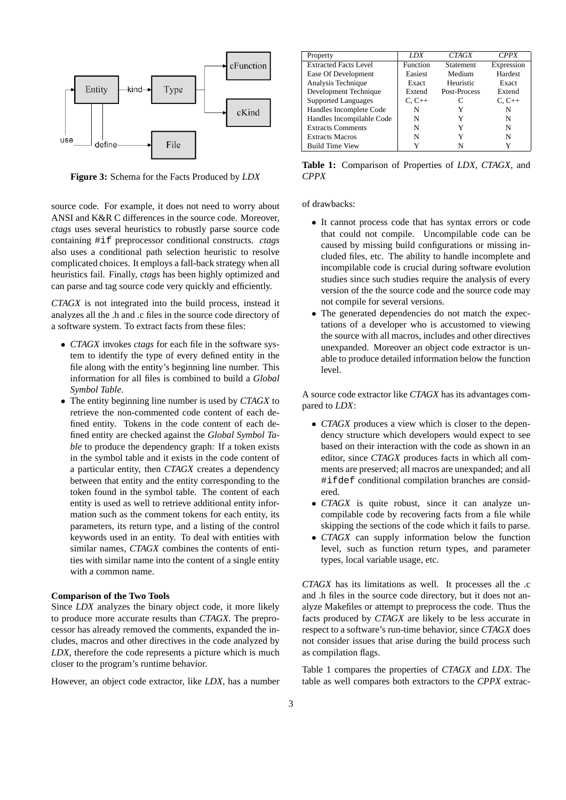

**Figure 3:** Schema for the Facts Produced by *LDX*

source code. For example, it does not need to worry about ANSI and K&R C differences in the source code. Moreover, *ctags* uses several heuristics to robustly parse source code containing #if preprocessor conditional constructs. *ctags* also uses a conditional path selection heuristic to resolve complicated choices. It employs a fall-back strategy when all heuristics fail. Finally, *ctags* has been highly optimized and can parse and tag source code very quickly and efficiently.

*CTAGX* is not integrated into the build process, instead it analyzes all the .h and .c files in the source code directory of a software system. To extract facts from these files:

- *CTAGX* invokes *ctags* for each file in the software system to identify the type of every defined entity in the file along with the entity's beginning line number. This information for all files is combined to build a *Global Symbol Table*.
- The entity beginning line number is used by *CTAGX* to retrieve the non-commented code content of each defined entity. Tokens in the code content of each defined entity are checked against the *Global Symbol Table* to produce the dependency graph: If a token exists in the symbol table and it exists in the code content of a particular entity, then *CTAGX* creates a dependency between that entity and the entity corresponding to the token found in the symbol table. The content of each entity is used as well to retrieve additional entity information such as the comment tokens for each entity, its parameters, its return type, and a listing of the control keywords used in an entity. To deal with entities with similar names, *CTAGX* combines the contents of entities with similar name into the content of a single entity with a common name.

#### **Comparison of the Two Tools**

Since *LDX* analyzes the binary object code, it more likely to produce more accurate results than *CTAGX*. The preprocessor has already removed the comments, expanded the includes, macros and other directives in the code analyzed by *LDX*, therefore the code represents a picture which is much closer to the program's runtime behavior.

However, an object code extractor, like *LDX*, has a number

| Property                     | LDX             | <b>CTAGX</b> | <b>CPPX</b> |
|------------------------------|-----------------|--------------|-------------|
| <b>Extracted Facts Level</b> | <b>Function</b> | Statement    | Expression  |
| Ease Of Development          | Easiest         | Medium       | Hardest     |
| Analysis Technique           | Exact           | Heuristic    | Exact       |
| Development Technique        | Extend          | Post-Process | Extend      |
| <b>Supported Languages</b>   | $C, C++$        | C            | $C, C++$    |
| Handles Incomplete Code      | N               | Y            | N           |
| Handles Incompilable Code    | N               | Y            | N           |
| <b>Extracts Comments</b>     | N               | Y            | N           |
| <b>Extracts Macros</b>       | N               | Y            | N           |
| Build Time View              | Y               | N            | Y           |

**Table 1:** Comparison of Properties of *LDX*, *CTAGX*, and *CPPX*

of drawbacks:

- It cannot process code that has syntax errors or code that could not compile. Uncompilable code can be caused by missing build configurations or missing included files, etc. The ability to handle incomplete and incompilable code is crucial during software evolution studies since such studies require the analysis of every version of the the source code and the source code may not compile for several versions.
- The generated dependencies do not match the expectations of a developer who is accustomed to viewing the source with all macros, includes and other directives unexpanded. Moreover an object code extractor is unable to produce detailed information below the function level.

A source code extractor like *CTAGX* has its advantages compared to *LDX*:

- *CTAGX* produces a view which is closer to the dependency structure which developers would expect to see based on their interaction with the code as shown in an editor, since *CTAGX* produces facts in which all comments are preserved; all macros are unexpanded; and all #ifdef conditional compilation branches are considered.
- *CTAGX* is quite robust, since it can analyze uncompilable code by recovering facts from a file while skipping the sections of the code which it fails to parse.
- *CTAGX* can supply information below the function level, such as function return types, and parameter types, local variable usage, etc.

*CTAGX* has its limitations as well. It processes all the .c and .h files in the source code directory, but it does not analyze Makefiles or attempt to preprocess the code. Thus the facts produced by *CTAGX* are likely to be less accurate in respect to a software's run-time behavior, since *CTAGX* does not consider issues that arise during the build process such as compilation flags.

Table 1 compares the properties of *CTAGX* and *LDX*. The table as well compares both extractors to the *CPPX* extrac-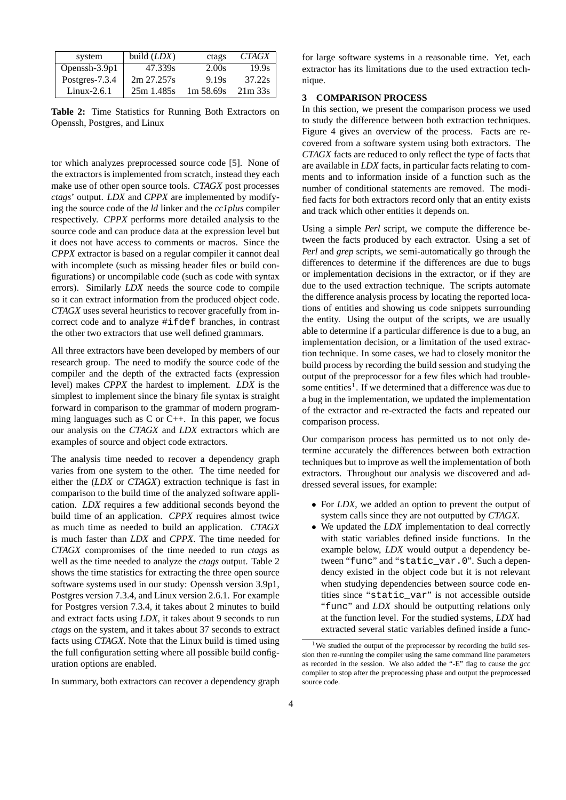| system         | build $(LDX)$ | ctags        | <b>CTAGX</b> |
|----------------|---------------|--------------|--------------|
| Openssh-3.9p1  | 47.339s       | 2.00s        | 19.9s        |
| Postgres-7.3.4 | 2m 27.257s    | 9.19s        | 37.22s       |
| $Linux-2.6.1$  | 25m 1.485s    | $1m\,58.69s$ | $21m$ 33s    |

**Table 2:** Time Statistics for Running Both Extractors on Openssh, Postgres, and Linux

tor which analyzes preprocessed source code [5]. None of the extractors is implemented from scratch, instead they each make use of other open source tools. *CTAGX* post processes *ctags*' output. *LDX* and *CPPX* are implemented by modifying the source code of the *ld* linker and the *cc1plus* compiler respectively. *CPPX* performs more detailed analysis to the source code and can produce data at the expression level but it does not have access to comments or macros. Since the *CPPX* extractor is based on a regular compiler it cannot deal with incomplete (such as missing header files or build configurations) or uncompilable code (such as code with syntax errors). Similarly *LDX* needs the source code to compile so it can extract information from the produced object code. *CTAGX* uses several heuristics to recover gracefully from incorrect code and to analyze #ifdef branches, in contrast the other two extractors that use well defined grammars.

All three extractors have been developed by members of our research group. The need to modify the source code of the compiler and the depth of the extracted facts (expression level) makes *CPPX* the hardest to implement. *LDX* is the simplest to implement since the binary file syntax is straight forward in comparison to the grammar of modern programming languages such as C or C++. In this paper, we focus our analysis on the *CTAGX* and *LDX* extractors which are examples of source and object code extractors.

The analysis time needed to recover a dependency graph varies from one system to the other. The time needed for either the (*LDX* or *CTAGX*) extraction technique is fast in comparison to the build time of the analyzed software application. *LDX* requires a few additional seconds beyond the build time of an application. *CPPX* requires almost twice as much time as needed to build an application. *CTAGX* is much faster than *LDX* and *CPPX*. The time needed for *CTAGX* compromises of the time needed to run *ctags* as well as the time needed to analyze the *ctags* output. Table 2 shows the time statistics for extracting the three open source software systems used in our study: Openssh version 3.9p1, Postgres version 7.3.4, and Linux version 2.6.1. For example for Postgres version 7.3.4, it takes about 2 minutes to build and extract facts using *LDX*, it takes about 9 seconds to run *ctags* on the system, and it takes about 37 seconds to extract facts using *CTAGX*. Note that the Linux build is timed using the full configuration setting where all possible build configuration options are enabled.

In summary, both extractors can recover a dependency graph

for large software systems in a reasonable time. Yet, each extractor has its limitations due to the used extraction technique.

#### **3 COMPARISON PROCESS**

In this section, we present the comparison process we used to study the difference between both extraction techniques. Figure 4 gives an overview of the process. Facts are recovered from a software system using both extractors. The *CTAGX* facts are reduced to only reflect the type of facts that are available in *LDX* facts, in particular facts relating to comments and to information inside of a function such as the number of conditional statements are removed. The modified facts for both extractors record only that an entity exists and track which other entities it depends on.

Using a simple *Perl* script, we compute the difference between the facts produced by each extractor. Using a set of *Perl* and *grep* scripts, we semi-automatically go through the differences to determine if the differences are due to bugs or implementation decisions in the extractor, or if they are due to the used extraction technique. The scripts automate the difference analysis process by locating the reported locations of entities and showing us code snippets surrounding the entity. Using the output of the scripts, we are usually able to determine if a particular difference is due to a bug, an implementation decision, or a limitation of the used extraction technique. In some cases, we had to closely monitor the build process by recording the build session and studying the output of the preprocessor for a few files which had troublesome entities<sup>1</sup>. If we determined that a difference was due to a bug in the implementation, we updated the implementation of the extractor and re-extracted the facts and repeated our comparison process.

Our comparison process has permitted us to not only determine accurately the differences between both extraction techniques but to improve as well the implementation of both extractors. Throughout our analysis we discovered and addressed several issues, for example:

- For *LDX*, we added an option to prevent the output of system calls since they are not outputted by *CTAGX*.
- We updated the *LDX* implementation to deal correctly with static variables defined inside functions. In the example below, *LDX* would output a dependency between "func" and "static\_var.0". Such a dependency existed in the object code but it is not relevant when studying dependencies between source code entities since "static\_var" is not accessible outside "func" and *LDX* should be outputting relations only at the function level. For the studied systems, *LDX* had extracted several static variables defined inside a func-

<sup>&</sup>lt;sup>1</sup>We studied the output of the preprocessor by recording the build session then re-running the compiler using the same command line parameters as recorded in the session. We also added the "-E" flag to cause the *gcc* compiler to stop after the preprocessing phase and output the preprocessed source code.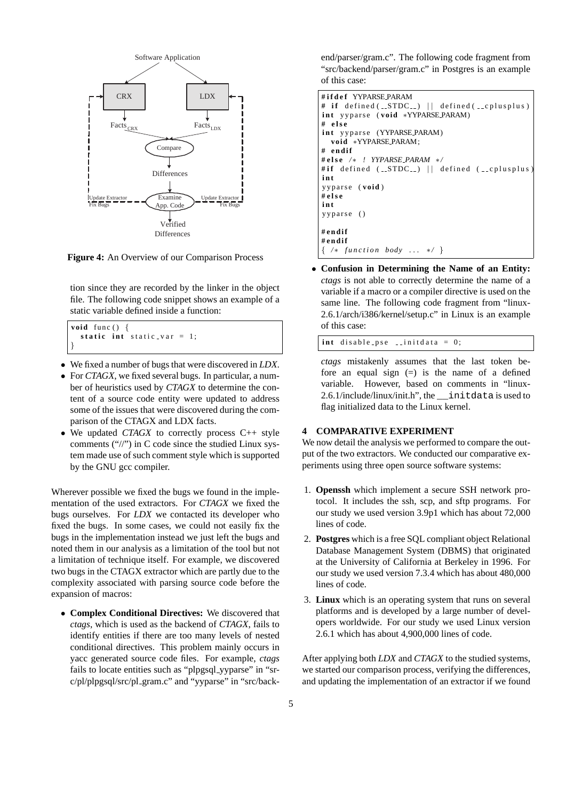

**Figure 4:** An Overview of our Comparison Process

tion since they are recorded by the linker in the object file. The following code snippet shows an example of a static variable defined inside a function:

```
\text{void } \text{func}() \{static int static var = 1:
}
```
- We fixed a number of bugs that were discovered in *LDX*.
- For *CTAGX*, we fixed several bugs. In particular, a number of heuristics used by *CTAGX* to determine the content of a source code entity were updated to address some of the issues that were discovered during the comparison of the CTAGX and LDX facts.
- We updated *CTAGX* to correctly process C++ style comments ("//") in C code since the studied Linux system made use of such comment style which is supported by the GNU gcc compiler.

Wherever possible we fixed the bugs we found in the implementation of the used extractors. For *CTAGX* we fixed the bugs ourselves. For *LDX* we contacted its developer who fixed the bugs. In some cases, we could not easily fix the bugs in the implementation instead we just left the bugs and noted them in our analysis as a limitation of the tool but not a limitation of technique itself. For example, we discovered two bugs in the CTAGX extractor which are partly due to the complexity associated with parsing source code before the expansion of macros:

• **Complex Conditional Directives:** We discovered that *ctags*, which is used as the backend of *CTAGX*, fails to identify entities if there are too many levels of nested conditional directives. This problem mainly occurs in yacc generated source code files. For example, *ctags* fails to locate entities such as "plpgsql\_yyparse" in "src/pl/plpgsql/src/pl gram.c" and "yyparse" in "src/backend/parser/gram.c". The following code fragment from "src/backend/parser/gram.c" in Postgres is an example of this case:

```
# i f d e f YYPARSE PARAM
# if defined (__STDC__) | defined (__cplusplus)
int yyparse (void *YYPARSEPARAM)
# e l s e
int yyparse (YYPARSE_PARAM)
  void ∗YYPARSE PARAM;
# e n d i f
# e l s e /∗ ! YYPARSE PARAM ∗/
#if defined (__STDC__) | defined (__cplusplus
i n t
yyparse (void)
# e l s e
i n t
y y parse ()
# e n d i f
# e n d i f
{ /∗ f u n c t i o n body . . . ∗/ }
```
• **Confusion in Determining the Name of an Entity:** *ctags* is not able to correctly determine the name of a variable if a macro or a compiler directive is used on the same line. The following code fragment from "linux-2.6.1/arch/i386/kernel/setup.c" in Linux is an example of this case:

int disable\_pse \_\_initdata = 0;

*ctags* mistakenly assumes that the last token before an equal sign  $(=)$  is the name of a defined variable. However, based on comments in "linux-2.6.1/include/linux/init.h", the \_\_initdata is used to flag initialized data to the Linux kernel.

# **4 COMPARATIVE EXPERIMENT**

We now detail the analysis we performed to compare the output of the two extractors. We conducted our comparative experiments using three open source software systems:

- 1. **Openssh** which implement a secure SSH network protocol. It includes the ssh, scp, and sftp programs. For our study we used version 3.9p1 which has about 72,000 lines of code.
- 2. **Postgres** which is a free SQL compliant object Relational Database Management System (DBMS) that originated at the University of California at Berkeley in 1996. For our study we used version 7.3.4 which has about 480,000 lines of code.
- 3. **Linux** which is an operating system that runs on several platforms and is developed by a large number of developers worldwide. For our study we used Linux version 2.6.1 which has about 4,900,000 lines of code.

After applying both *LDX* and *CTAGX* to the studied systems, we started our comparison process, verifying the differences, and updating the implementation of an extractor if we found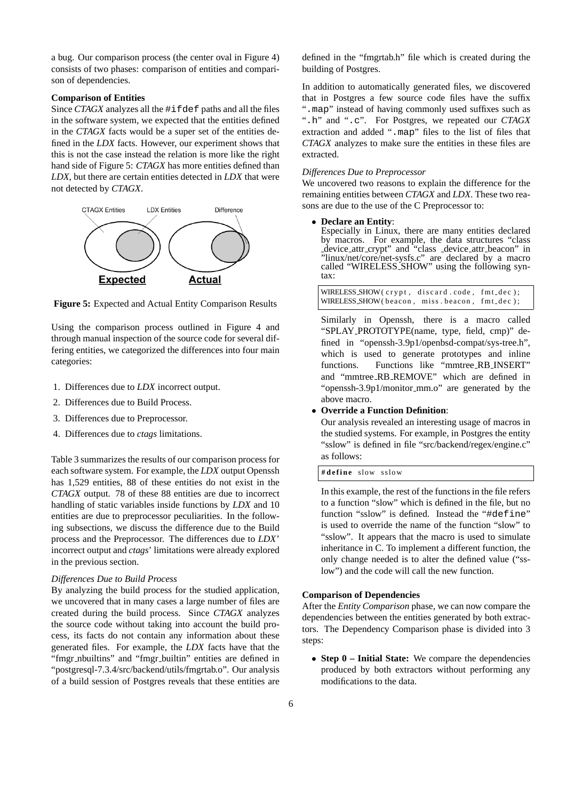a bug. Our comparison process (the center oval in Figure 4) consists of two phases: comparison of entities and comparison of dependencies.

## **Comparison of Entities**

Since *CTAGX* analyzes all the #ifdef paths and all the files in the software system, we expected that the entities defined in the *CTAGX* facts would be a super set of the entities defined in the *LDX* facts. However, our experiment shows that this is not the case instead the relation is more like the right hand side of Figure 5: *CTAGX* has more entities defined than *LDX*, but there are certain entities detected in *LDX* that were not detected by *CTAGX*.



**Figure 5:** Expected and Actual Entity Comparison Results

Using the comparison process outlined in Figure 4 and through manual inspection of the source code for several differing entities, we categorized the differences into four main categories:

- 1. Differences due to *LDX* incorrect output.
- 2. Differences due to Build Process.
- 3. Differences due to Preprocessor.
- 4. Differences due to *ctags* limitations.

Table 3 summarizes the results of our comparison process for each software system. For example, the *LDX* output Openssh has 1,529 entities, 88 of these entities do not exist in the *CTAGX* output. 78 of these 88 entities are due to incorrect handling of static variables inside functions by *LDX* and 10 entities are due to preprocessor peculiarities. In the following subsections, we discuss the difference due to the Build process and the Preprocessor. The differences due to *LDX*' incorrect output and *ctags*' limitations were already explored in the previous section.

## *Differences Due to Build Process*

By analyzing the build process for the studied application, we uncovered that in many cases a large number of files are created during the build process. Since *CTAGX* analyzes the source code without taking into account the build process, its facts do not contain any information about these generated files. For example, the *LDX* facts have that the "fmgr nbuiltins" and "fmgr builtin" entities are defined in "postgresql-7.3.4/src/backend/utils/fmgrtab.o". Our analysis of a build session of Postgres reveals that these entities are defined in the "fmgrtab.h" file which is created during the building of Postgres.

In addition to automatically generated files, we discovered that in Postgres a few source code files have the suffix ".map" instead of having commonly used suffixes such as ".h" and ".c". For Postgres, we repeated our *CTAGX* extraction and added ".map" files to the list of files that *CTAGX* analyzes to make sure the entities in these files are extracted.

## *Differences Due to Preprocessor*

We uncovered two reasons to explain the difference for the remaining entities between *CTAGX* and *LDX*. These two reasons are due to the use of the C Preprocessor to:

#### • **Declare an Entity**:

Especially in Linux, there are many entities declared by macros. For example, the data structures "class device attr crypt" and "class device attr beacon" in "linux/net/core/net-sysfs.c" are declared by a macro called "WIRELESS SHOW" using the following syntax:

WIRELESS\_SHOW(crypt, discard.code, fmt\_dec); WIRELESS\_SHOW(beacon, miss.beacon, fmt\_dec);

Similarly in Openssh, there is a macro called "SPLAY PROTOTYPE(name, type, field, cmp)" defined in "openssh-3.9p1/openbsd-compat/sys-tree.h", which is used to generate prototypes and inline functions. Functions like "mmtree RB INSERT" and "mmtree RB REMOVE" which are defined in "openssh-3.9p1/monitor mm.o" are generated by the above macro.

#### • **Override a Function Definition**:

Our analysis revealed an interesting usage of macros in the studied systems. For example, in Postgres the entity "sslow" is defined in file "src/backend/regex/engine.c" as follows:

#### #define slow sslow

In this example, the rest of the functions in the file refers to a function "slow" which is defined in the file, but no function "sslow" is defined. Instead the "#define" is used to override the name of the function "slow" to "sslow". It appears that the macro is used to simulate inheritance in C. To implement a different function, the only change needed is to alter the defined value ("sslow") and the code will call the new function.

## **Comparison of Dependencies**

After the *Entity Comparison* phase, we can now compare the dependencies between the entities generated by both extractors. The Dependency Comparison phase is divided into 3 steps:

• **Step 0 – Initial State:** We compare the dependencies produced by both extractors without performing any modifications to the data.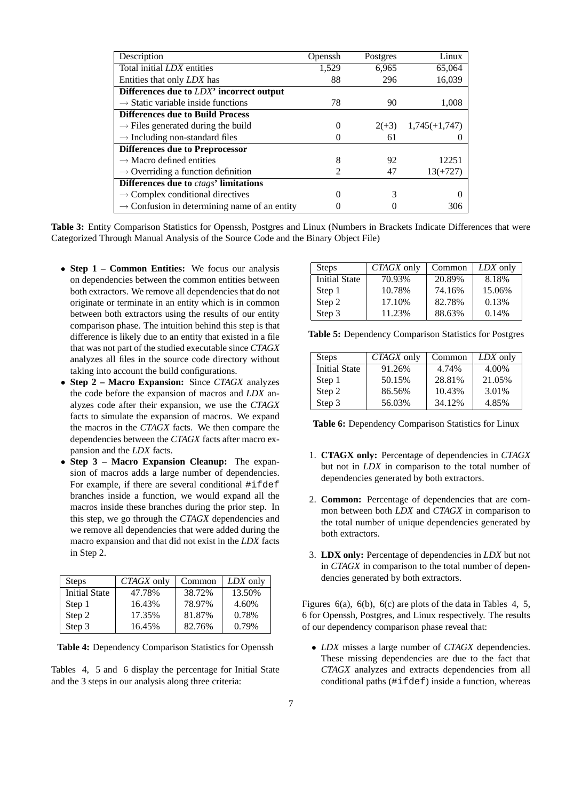| Description                                              | Openssh | Postgres | Linux           |  |
|----------------------------------------------------------|---------|----------|-----------------|--|
| Total initial <i>LDX</i> entities                        | 1,529   | 6,965    | 65,064          |  |
| Entities that only <i>LDX</i> has                        | 88      | 296      | 16,039          |  |
| Differences due to LDX' incorrect output                 |         |          |                 |  |
| $\rightarrow$ Static variable inside functions           | 78      | 90       | 1,008           |  |
| <b>Differences due to Build Process</b>                  |         |          |                 |  |
| $\rightarrow$ Files generated during the build           | 0       | $2(+3)$  | $1,745(+1,747)$ |  |
| $\rightarrow$ Including non-standard files               |         | 61       |                 |  |
| <b>Differences due to Preprocessor</b>                   |         |          |                 |  |
| $\rightarrow$ Macro defined entities                     | 8       | 92       | 12251           |  |
| $\rightarrow$ Overriding a function definition           |         | 47       | $13(+727)$      |  |
| Differences due to ctags' limitations                    |         |          |                 |  |
| $\rightarrow$ Complex conditional directives             | 0       | 3        |                 |  |
| $\rightarrow$ Confusion in determining name of an entity |         |          | 306             |  |

**Table 3:** Entity Comparison Statistics for Openssh, Postgres and Linux (Numbers in Brackets Indicate Differences that were Categorized Through Manual Analysis of the Source Code and the Binary Object File)

- **Step 1 Common Entities:** We focus our analysis on dependencies between the common entities between both extractors. We remove all dependencies that do not originate or terminate in an entity which is in common between both extractors using the results of our entity comparison phase. The intuition behind this step is that difference is likely due to an entity that existed in a file that was not part of the studied executable since *CTAGX* analyzes all files in the source code directory without taking into account the build configurations.
- **Step 2 Macro Expansion:** Since *CTAGX* analyzes the code before the expansion of macros and *LDX* analyzes code after their expansion, we use the *CTAGX* facts to simulate the expansion of macros. We expand the macros in the *CTAGX* facts. We then compare the dependencies between the *CTAGX* facts after macro expansion and the *LDX* facts.
- **Step 3 Macro Expansion Cleanup:** The expansion of macros adds a large number of dependencies. For example, if there are several conditional #ifdef branches inside a function, we would expand all the macros inside these branches during the prior step. In this step, we go through the *CTAGX* dependencies and we remove all dependencies that were added during the macro expansion and that did not exist in the *LDX* facts in Step 2.

| <b>Steps</b>         | CTAGX only | Common | LDX only |
|----------------------|------------|--------|----------|
| <b>Initial State</b> | 47.78%     | 38.72% | 13.50%   |
| Step 1               | 16.43%     | 78.97% | 4.60%    |
| Step 2               | 17.35%     | 81.87% | 0.78%    |
| Step 3               | 16.45%     | 82.76% | 0.79%    |

**Table 4:** Dependency Comparison Statistics for Openssh

Tables 4, 5 and 6 display the percentage for Initial State and the 3 steps in our analysis along three criteria:

| <b>Steps</b>         | CTAGX only | Common | LDX only |
|----------------------|------------|--------|----------|
| <b>Initial State</b> | 70.93%     | 20.89% | 8.18%    |
| Step 1               | 10.78%     | 74.16% | 15.06%   |
| Step 2               | 17.10%     | 82.78% | 0.13%    |
| Step 3               | 11.23%     | 88.63% | 0.14%    |

**Table 5:** Dependency Comparison Statistics for Postgres

| <b>Steps</b>         | CTAGX only | Common | LDX only |
|----------------------|------------|--------|----------|
| <b>Initial State</b> | 91.26%     | 4.74%  | 4.00%    |
| Step 1               | 50.15%     | 28.81% | 21.05%   |
| Step 2               | 86.56%     | 10.43% | 3.01%    |
| Step 3               | 56.03%     | 34.12% | 4.85%    |

**Table 6:** Dependency Comparison Statistics for Linux

- 1. **CTAGX only:** Percentage of dependencies in *CTAGX* but not in *LDX* in comparison to the total number of dependencies generated by both extractors.
- 2. **Common:** Percentage of dependencies that are common between both *LDX* and *CTAGX* in comparison to the total number of unique dependencies generated by both extractors.
- 3. **LDX only:** Percentage of dependencies in *LDX* but not in *CTAGX* in comparison to the total number of dependencies generated by both extractors.

Figures 6(a), 6(b), 6(c) are plots of the data in Tables 4, 5, 6 for Openssh, Postgres, and Linux respectively. The results of our dependency comparison phase reveal that:

• *LDX* misses a large number of *CTAGX* dependencies. These missing dependencies are due to the fact that *CTAGX* analyzes and extracts dependencies from all conditional paths (#ifdef) inside a function, whereas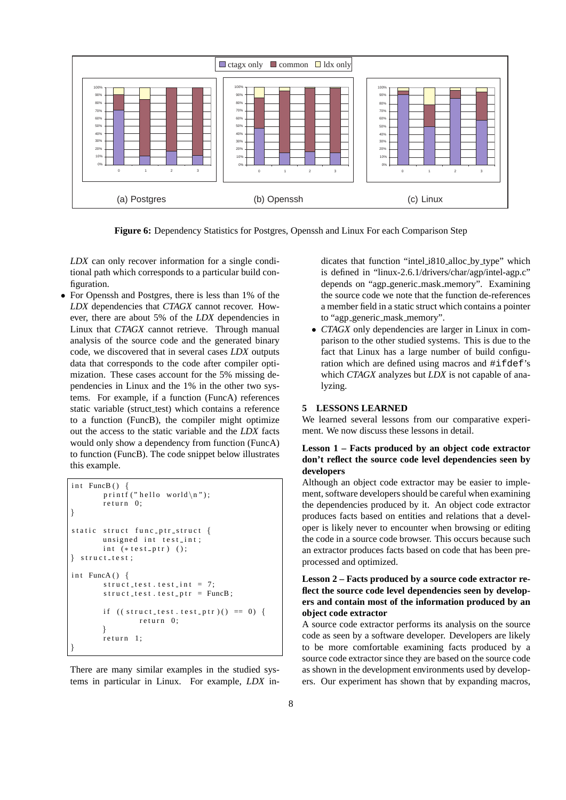

**Figure 6:** Dependency Statistics for Postgres, Openssh and Linux For each Comparison Step

*LDX* can only recover information for a single conditional path which corresponds to a particular build configuration.

• For Openssh and Postgres, there is less than 1% of the *LDX* dependencies that *CTAGX* cannot recover. However, there are about 5% of the *LDX* dependencies in Linux that *CTAGX* cannot retrieve. Through manual analysis of the source code and the generated binary code, we discovered that in several cases *LDX* outputs data that corresponds to the code after compiler optimization. These cases account for the 5% missing dependencies in Linux and the 1% in the other two systems. For example, if a function (FuncA) references static variable (struct\_test) which contains a reference to a function (FuncB), the compiler might optimize out the access to the static variable and the *LDX* facts would only show a dependency from function (FuncA) to function (FuncB). The code snippet below illustrates this example.

```
int FuncB() {
        print f("hello world\n ");
        return 0;}
static struct func-ptr-struct {
        unsigned int test_int;
        int (* test\_ptr) ();
} struct_test;
int FuncA() {
        s t r u c t _t e s t . t e s t _i n t = 7:
        struct\_test.test\_ptr = FuncB;if ((struct_test.test.get_ptr)) = 0) {
                 return 0:
        }
        return 1;}
```
There are many similar examples in the studied systems in particular in Linux. For example, *LDX* indicates that function "intel i810 alloc by type" which is defined in "linux-2.6.1/drivers/char/agp/intel-agp.c" depends on "agp generic mask memory". Examining the source code we note that the function de-references a member field in a static struct which contains a pointer to "agp\_generic\_mask\_memory".

• *CTAGX* only dependencies are larger in Linux in comparison to the other studied systems. This is due to the fact that Linux has a large number of build configuration which are defined using macros and #ifdef's which *CTAGX* analyzes but *LDX* is not capable of analyzing.

## **5 LESSONS LEARNED**

We learned several lessons from our comparative experiment. We now discuss these lessons in detail.

# **Lesson 1 – Facts produced by an object code extractor don't reflect the source code level dependencies seen by developers**

Although an object code extractor may be easier to implement, software developers should be careful when examining the dependencies produced by it. An object code extractor produces facts based on entities and relations that a developer is likely never to encounter when browsing or editing the code in a source code browser. This occurs because such an extractor produces facts based on code that has been preprocessed and optimized.

# **Lesson 2 – Facts produced by a source code extractor reflect the source code level dependencies seen by developers and contain most of the information produced by an object code extractor**

A source code extractor performs its analysis on the source code as seen by a software developer. Developers are likely to be more comfortable examining facts produced by a source code extractor since they are based on the source code as shown in the development environments used by developers. Our experiment has shown that by expanding macros,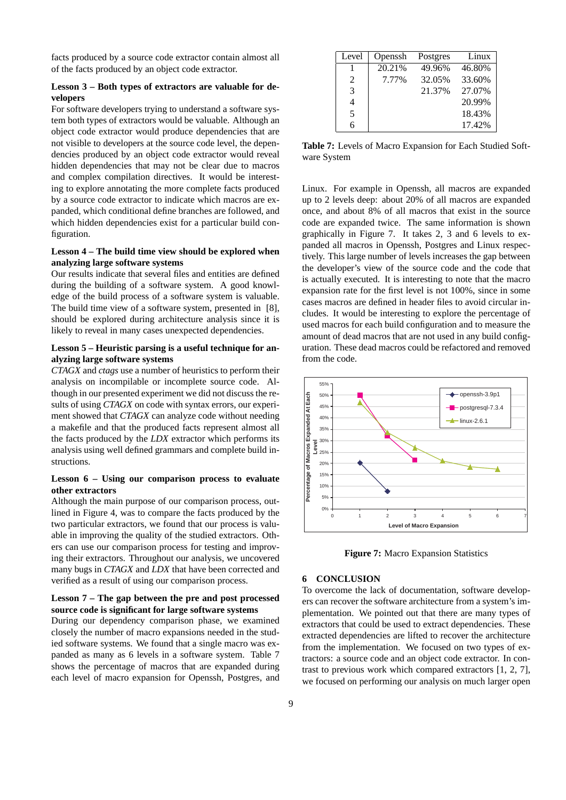facts produced by a source code extractor contain almost all of the facts produced by an object code extractor.

# **Lesson 3 – Both types of extractors are valuable for developers**

For software developers trying to understand a software system both types of extractors would be valuable. Although an object code extractor would produce dependencies that are not visible to developers at the source code level, the dependencies produced by an object code extractor would reveal hidden dependencies that may not be clear due to macros and complex compilation directives. It would be interesting to explore annotating the more complete facts produced by a source code extractor to indicate which macros are expanded, which conditional define branches are followed, and which hidden dependencies exist for a particular build configuration.

# **Lesson 4 – The build time view should be explored when analyzing large software systems**

Our results indicate that several files and entities are defined during the building of a software system. A good knowledge of the build process of a software system is valuable. The build time view of a software system, presented in [8], should be explored during architecture analysis since it is likely to reveal in many cases unexpected dependencies.

## **Lesson 5 – Heuristic parsing is a useful technique for analyzing large software systems**

*CTAGX* and *ctags* use a number of heuristics to perform their analysis on incompilable or incomplete source code. Although in our presented experiment we did not discuss the results of using *CTAGX* on code with syntax errors, our experiment showed that *CTAGX* can analyze code without needing a makefile and that the produced facts represent almost all the facts produced by the *LDX* extractor which performs its analysis using well defined grammars and complete build instructions.

## **Lesson 6 – Using our comparison process to evaluate other extractors**

Although the main purpose of our comparison process, outlined in Figure 4, was to compare the facts produced by the two particular extractors, we found that our process is valuable in improving the quality of the studied extractors. Others can use our comparison process for testing and improving their extractors. Throughout our analysis, we uncovered many bugs in *CTAGX* and *LDX* that have been corrected and verified as a result of using our comparison process.

# **Lesson 7 – The gap between the pre and post processed source code is significant for large software systems**

During our dependency comparison phase, we examined closely the number of macro expansions needed in the studied software systems. We found that a single macro was expanded as many as 6 levels in a software system. Table 7 shows the percentage of macros that are expanded during each level of macro expansion for Openssh, Postgres, and

| Level                    | Openssh | Postgres | Linux  |
|--------------------------|---------|----------|--------|
|                          | 20.21%  | 49.96%   | 46.80% |
| $\mathcal{L}$            | 7.77%   | 32.05%   | 33.60% |
| 3                        |         | 21.37%   | 27.07% |
| 4                        |         |          | 20.99% |
| $\overline{\mathcal{L}}$ |         |          | 18.43% |
| ĥ                        |         |          | 17.42% |

**Table 7:** Levels of Macro Expansion for Each Studied Software System

Linux. For example in Openssh, all macros are expanded up to 2 levels deep: about 20% of all macros are expanded once, and about 8% of all macros that exist in the source code are expanded twice. The same information is shown graphically in Figure 7. It takes 2, 3 and 6 levels to expanded all macros in Openssh, Postgres and Linux respectively. This large number of levels increases the gap between the developer's view of the source code and the code that is actually executed. It is interesting to note that the macro expansion rate for the first level is not 100%, since in some cases macros are defined in header files to avoid circular includes. It would be interesting to explore the percentage of used macros for each build configuration and to measure the amount of dead macros that are not used in any build configuration. These dead macros could be refactored and removed from the code.



**Figure 7:** Macro Expansion Statistics

# **6 CONCLUSION**

To overcome the lack of documentation, software developers can recover the software architecture from a system's implementation. We pointed out that there are many types of extractors that could be used to extract dependencies. These extracted dependencies are lifted to recover the architecture from the implementation. We focused on two types of extractors: a source code and an object code extractor. In contrast to previous work which compared extractors [1, 2, 7], we focused on performing our analysis on much larger open